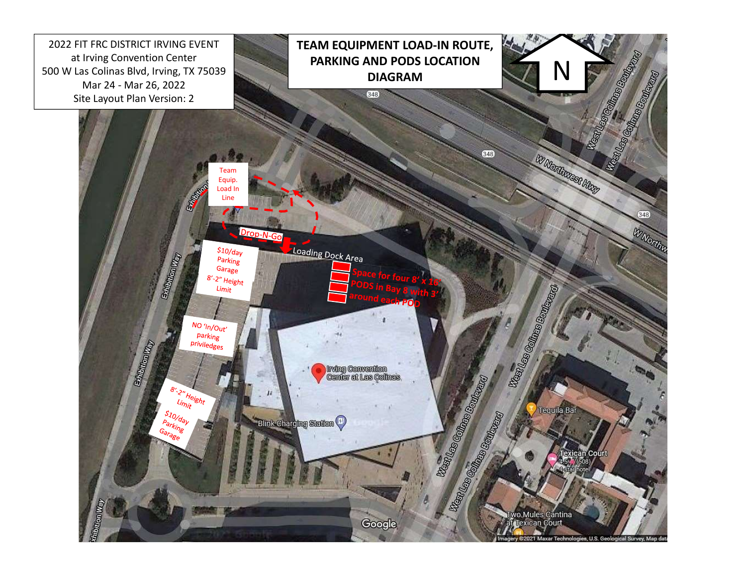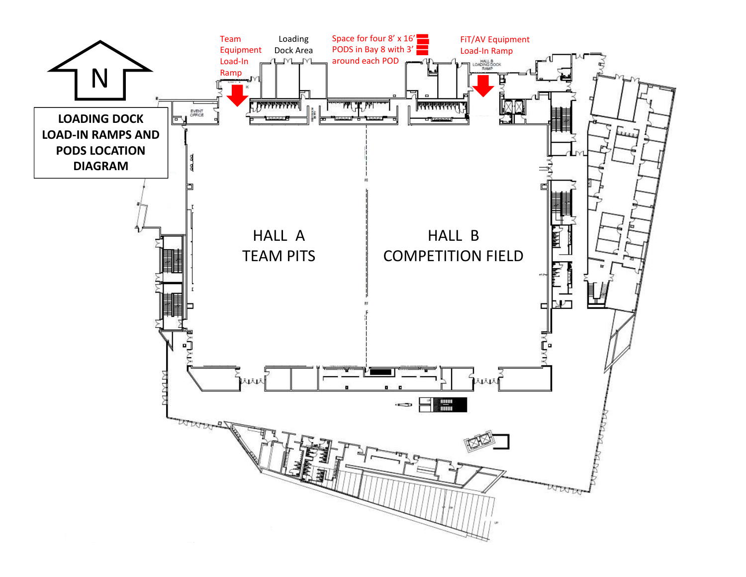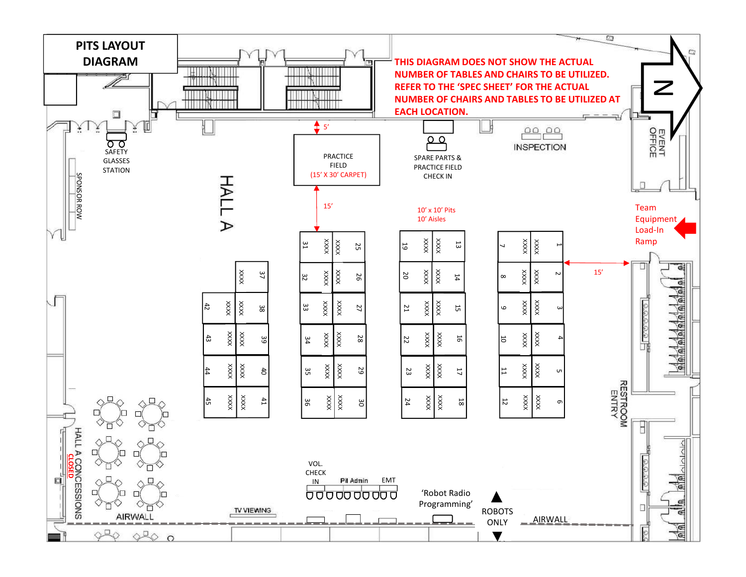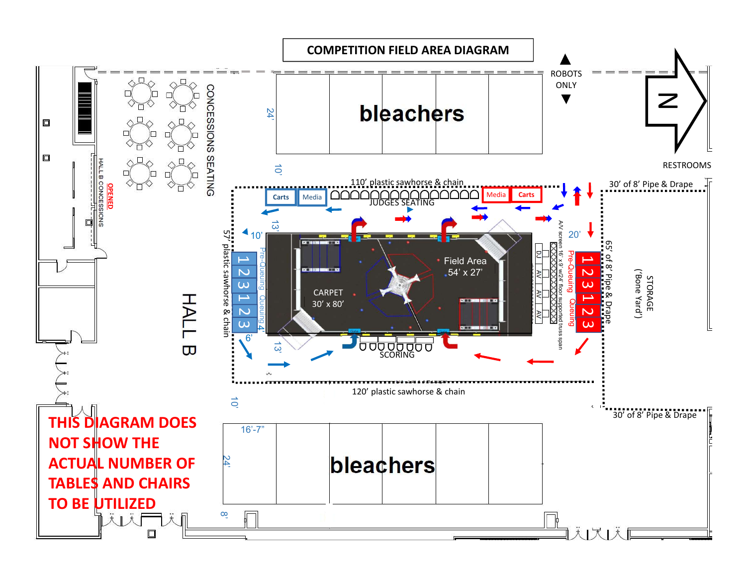